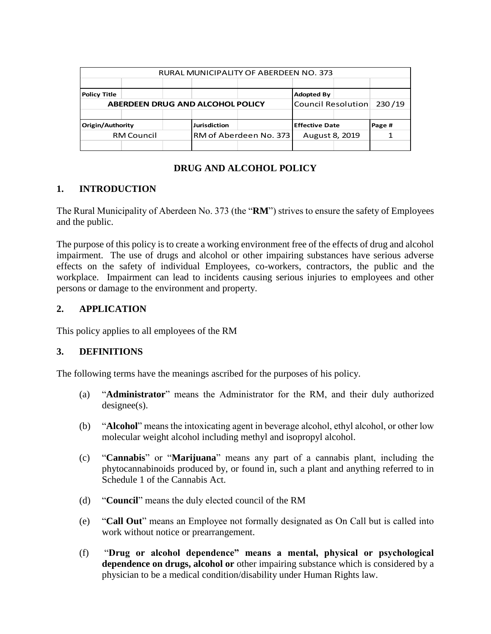| RURAL MUNICIPALITY OF ABERDEEN NO. 373  |  |              |                        |                       |                    |        |        |
|-----------------------------------------|--|--------------|------------------------|-----------------------|--------------------|--------|--------|
|                                         |  |              |                        |                       |                    |        |        |
| <b>Policy Title</b>                     |  |              |                        |                       | <b>Adopted By</b>  |        |        |
| <b>ABERDEEN DRUG AND ALCOHOL POLICY</b> |  |              |                        |                       | Council Resolution |        | 230/19 |
|                                         |  |              |                        |                       |                    |        |        |
| Origin/Authority                        |  | Jurisdiction |                        | <b>Effective Date</b> |                    | Page # |        |
| <b>RM Council</b>                       |  |              | RM of Aberdeen No. 373 |                       | August 8, 2019     |        |        |
|                                         |  |              |                        |                       |                    |        |        |

## **DRUG AND ALCOHOL POLICY**

# **1. INTRODUCTION**

The Rural Municipality of Aberdeen No. 373 (the "**RM**") strives to ensure the safety of Employees and the public.

The purpose of this policy is to create a working environment free of the effects of drug and alcohol impairment. The use of drugs and alcohol or other impairing substances have serious adverse effects on the safety of individual Employees, co-workers, contractors, the public and the workplace. Impairment can lead to incidents causing serious injuries to employees and other persons or damage to the environment and property.

# **2. APPLICATION**

This policy applies to all employees of the RM

## **3. DEFINITIONS**

The following terms have the meanings ascribed for the purposes of his policy.

- (a) "**Administrator**" means the Administrator for the RM, and their duly authorized designee(s).
- (b) "**Alcohol**" means the intoxicating agent in beverage alcohol, ethyl alcohol, or other low molecular weight alcohol including methyl and isopropyl alcohol.
- (c) "**Cannabis**" or "**Marijuana**" means any part of a cannabis plant, including the phytocannabinoids produced by, or found in, such a plant and anything referred to in Schedule 1 of the Cannabis Act.
- (d) "**Council**" means the duly elected council of the RM
- (e) "**Call Out**" means an Employee not formally designated as On Call but is called into work without notice or prearrangement.
- (f) "**Drug or alcohol dependence" means a mental, physical or psychological dependence on drugs, alcohol or** other impairing substance which is considered by a physician to be a medical condition/disability under Human Rights law.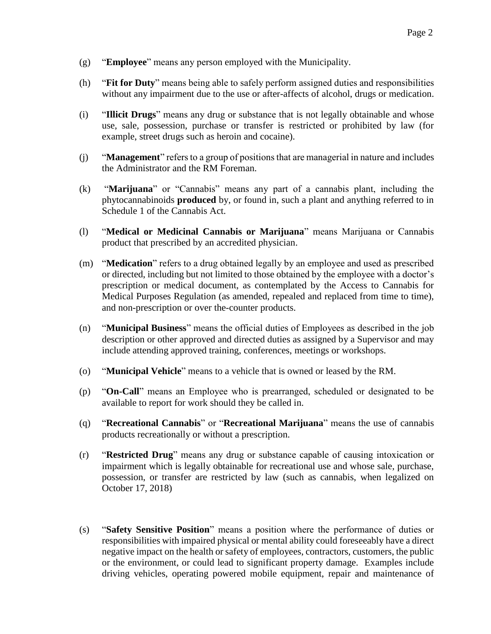- (g) "**Employee**" means any person employed with the Municipality.
- (h) "**Fit for Duty**" means being able to safely perform assigned duties and responsibilities without any impairment due to the use or after-affects of alcohol, drugs or medication.
- (i) "**Illicit Drugs**" means any drug or substance that is not legally obtainable and whose use, sale, possession, purchase or transfer is restricted or prohibited by law (for example, street drugs such as heroin and cocaine).
- (j) "**Management**" refers to a group of positions that are managerial in nature and includes the Administrator and the RM Foreman.
- (k) "**Marijuana**" or "Cannabis" means any part of a cannabis plant, including the phytocannabinoids **produced** by, or found in, such a plant and anything referred to in Schedule 1 of the Cannabis Act.
- (l) "**Medical or Medicinal Cannabis or Marijuana**" means Marijuana or Cannabis product that prescribed by an accredited physician.
- (m) "**Medication**" refers to a drug obtained legally by an employee and used as prescribed or directed, including but not limited to those obtained by the employee with a doctor's prescription or medical document, as contemplated by the Access to Cannabis for Medical Purposes Regulation (as amended, repealed and replaced from time to time), and non-prescription or over the-counter products.
- (n) "**Municipal Business**" means the official duties of Employees as described in the job description or other approved and directed duties as assigned by a Supervisor and may include attending approved training, conferences, meetings or workshops.
- (o) "**Municipal Vehicle**" means to a vehicle that is owned or leased by the RM.
- (p) "**On-Call**" means an Employee who is prearranged, scheduled or designated to be available to report for work should they be called in.
- (q) "**Recreational Cannabis**" or "**Recreational Marijuana**" means the use of cannabis products recreationally or without a prescription.
- (r) "**Restricted Drug**" means any drug or substance capable of causing intoxication or impairment which is legally obtainable for recreational use and whose sale, purchase, possession, or transfer are restricted by law (such as cannabis, when legalized on October 17, 2018)
- (s) "**Safety Sensitive Position**" means a position where the performance of duties or responsibilities with impaired physical or mental ability could foreseeably have a direct negative impact on the health or safety of employees, contractors, customers, the public or the environment, or could lead to significant property damage. Examples include driving vehicles, operating powered mobile equipment, repair and maintenance of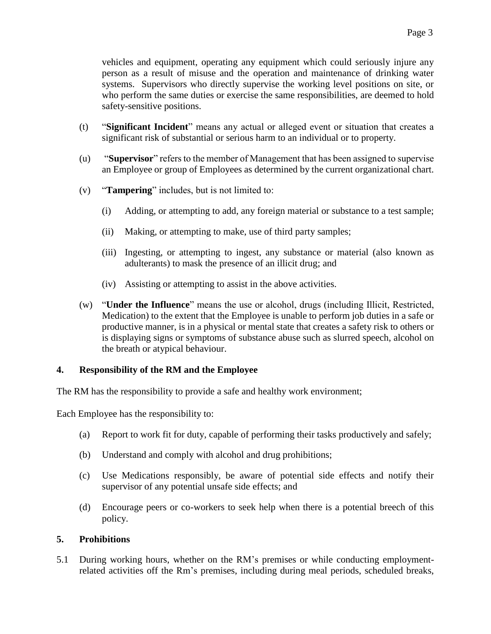vehicles and equipment, operating any equipment which could seriously injure any person as a result of misuse and the operation and maintenance of drinking water systems. Supervisors who directly supervise the working level positions on site, or who perform the same duties or exercise the same responsibilities, are deemed to hold safety-sensitive positions.

- (t) "**Significant Incident**" means any actual or alleged event or situation that creates a significant risk of substantial or serious harm to an individual or to property.
- (u) "**Supervisor**" refers to the member of Management that has been assigned to supervise an Employee or group of Employees as determined by the current organizational chart.
- (v) "**Tampering**" includes, but is not limited to:
	- (i) Adding, or attempting to add, any foreign material or substance to a test sample;
	- (ii) Making, or attempting to make, use of third party samples;
	- (iii) Ingesting, or attempting to ingest, any substance or material (also known as adulterants) to mask the presence of an illicit drug; and
	- (iv) Assisting or attempting to assist in the above activities.
- (w) "**Under the Influence**" means the use or alcohol, drugs (including Illicit, Restricted, Medication) to the extent that the Employee is unable to perform job duties in a safe or productive manner, is in a physical or mental state that creates a safety risk to others or is displaying signs or symptoms of substance abuse such as slurred speech, alcohol on the breath or atypical behaviour.

#### **4. Responsibility of the RM and the Employee**

The RM has the responsibility to provide a safe and healthy work environment;

Each Employee has the responsibility to:

- (a) Report to work fit for duty, capable of performing their tasks productively and safely;
- (b) Understand and comply with alcohol and drug prohibitions;
- (c) Use Medications responsibly, be aware of potential side effects and notify their supervisor of any potential unsafe side effects; and
- (d) Encourage peers or co-workers to seek help when there is a potential breech of this policy.

#### **5. Prohibitions**

5.1 During working hours, whether on the RM's premises or while conducting employmentrelated activities off the Rm's premises, including during meal periods, scheduled breaks,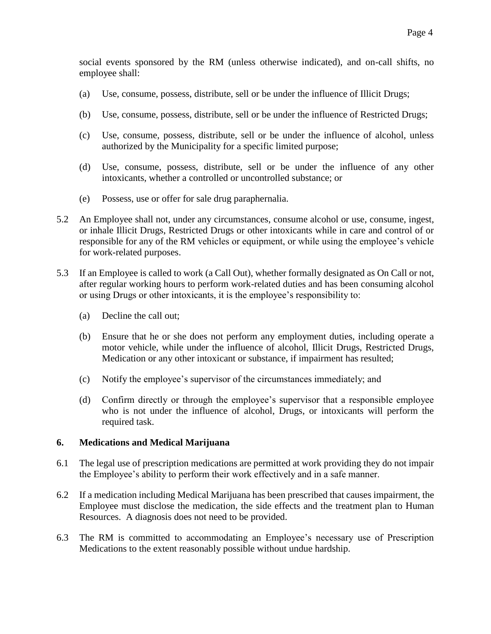social events sponsored by the RM (unless otherwise indicated), and on-call shifts, no employee shall:

- (a) Use, consume, possess, distribute, sell or be under the influence of Illicit Drugs;
- (b) Use, consume, possess, distribute, sell or be under the influence of Restricted Drugs;
- (c) Use, consume, possess, distribute, sell or be under the influence of alcohol, unless authorized by the Municipality for a specific limited purpose;
- (d) Use, consume, possess, distribute, sell or be under the influence of any other intoxicants, whether a controlled or uncontrolled substance; or
- (e) Possess, use or offer for sale drug paraphernalia.
- 5.2 An Employee shall not, under any circumstances, consume alcohol or use, consume, ingest, or inhale Illicit Drugs, Restricted Drugs or other intoxicants while in care and control of or responsible for any of the RM vehicles or equipment, or while using the employee's vehicle for work-related purposes.
- 5.3 If an Employee is called to work (a Call Out), whether formally designated as On Call or not, after regular working hours to perform work-related duties and has been consuming alcohol or using Drugs or other intoxicants, it is the employee's responsibility to:
	- (a) Decline the call out;
	- (b) Ensure that he or she does not perform any employment duties, including operate a motor vehicle, while under the influence of alcohol, Illicit Drugs, Restricted Drugs, Medication or any other intoxicant or substance, if impairment has resulted;
	- (c) Notify the employee's supervisor of the circumstances immediately; and
	- (d) Confirm directly or through the employee's supervisor that a responsible employee who is not under the influence of alcohol, Drugs, or intoxicants will perform the required task.

#### **6. Medications and Medical Marijuana**

- 6.1 The legal use of prescription medications are permitted at work providing they do not impair the Employee's ability to perform their work effectively and in a safe manner.
- 6.2 If a medication including Medical Marijuana has been prescribed that causes impairment, the Employee must disclose the medication, the side effects and the treatment plan to Human Resources. A diagnosis does not need to be provided.
- 6.3 The RM is committed to accommodating an Employee's necessary use of Prescription Medications to the extent reasonably possible without undue hardship.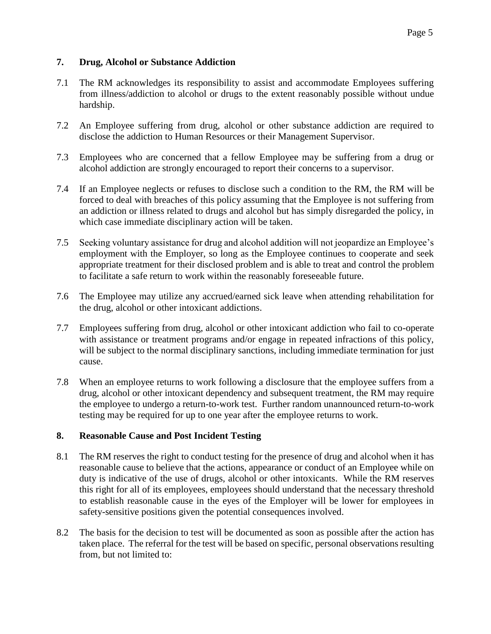### **7. Drug, Alcohol or Substance Addiction**

- 7.1 The RM acknowledges its responsibility to assist and accommodate Employees suffering from illness/addiction to alcohol or drugs to the extent reasonably possible without undue hardship.
- 7.2 An Employee suffering from drug, alcohol or other substance addiction are required to disclose the addiction to Human Resources or their Management Supervisor.
- 7.3 Employees who are concerned that a fellow Employee may be suffering from a drug or alcohol addiction are strongly encouraged to report their concerns to a supervisor.
- 7.4 If an Employee neglects or refuses to disclose such a condition to the RM, the RM will be forced to deal with breaches of this policy assuming that the Employee is not suffering from an addiction or illness related to drugs and alcohol but has simply disregarded the policy, in which case immediate disciplinary action will be taken.
- 7.5 Seeking voluntary assistance for drug and alcohol addition will not jeopardize an Employee's employment with the Employer, so long as the Employee continues to cooperate and seek appropriate treatment for their disclosed problem and is able to treat and control the problem to facilitate a safe return to work within the reasonably foreseeable future.
- 7.6 The Employee may utilize any accrued/earned sick leave when attending rehabilitation for the drug, alcohol or other intoxicant addictions.
- 7.7 Employees suffering from drug, alcohol or other intoxicant addiction who fail to co-operate with assistance or treatment programs and/or engage in repeated infractions of this policy, will be subject to the normal disciplinary sanctions, including immediate termination for just cause.
- 7.8 When an employee returns to work following a disclosure that the employee suffers from a drug, alcohol or other intoxicant dependency and subsequent treatment, the RM may require the employee to undergo a return-to-work test. Further random unannounced return-to-work testing may be required for up to one year after the employee returns to work.

#### **8. Reasonable Cause and Post Incident Testing**

- 8.1 The RM reserves the right to conduct testing for the presence of drug and alcohol when it has reasonable cause to believe that the actions, appearance or conduct of an Employee while on duty is indicative of the use of drugs, alcohol or other intoxicants. While the RM reserves this right for all of its employees, employees should understand that the necessary threshold to establish reasonable cause in the eyes of the Employer will be lower for employees in safety-sensitive positions given the potential consequences involved.
- 8.2 The basis for the decision to test will be documented as soon as possible after the action has taken place. The referral for the test will be based on specific, personal observations resulting from, but not limited to: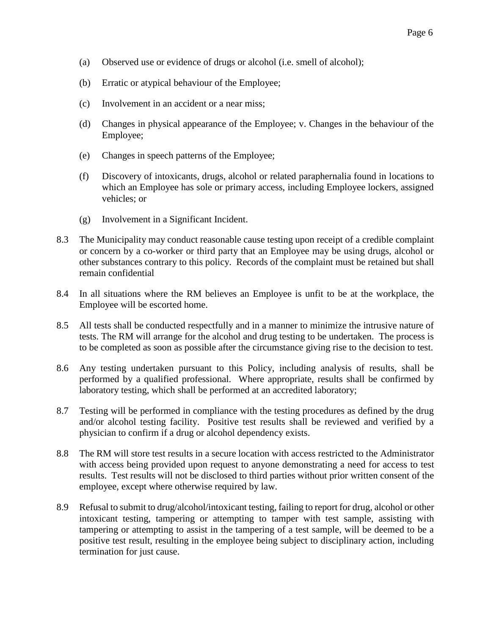- (a) Observed use or evidence of drugs or alcohol (i.e. smell of alcohol);
- (b) Erratic or atypical behaviour of the Employee;
- (c) Involvement in an accident or a near miss;
- (d) Changes in physical appearance of the Employee; v. Changes in the behaviour of the Employee;
- (e) Changes in speech patterns of the Employee;
- (f) Discovery of intoxicants, drugs, alcohol or related paraphernalia found in locations to which an Employee has sole or primary access, including Employee lockers, assigned vehicles; or
- (g) Involvement in a Significant Incident.
- 8.3 The Municipality may conduct reasonable cause testing upon receipt of a credible complaint or concern by a co-worker or third party that an Employee may be using drugs, alcohol or other substances contrary to this policy. Records of the complaint must be retained but shall remain confidential
- 8.4 In all situations where the RM believes an Employee is unfit to be at the workplace, the Employee will be escorted home.
- 8.5 All tests shall be conducted respectfully and in a manner to minimize the intrusive nature of tests. The RM will arrange for the alcohol and drug testing to be undertaken. The process is to be completed as soon as possible after the circumstance giving rise to the decision to test.
- 8.6 Any testing undertaken pursuant to this Policy, including analysis of results, shall be performed by a qualified professional. Where appropriate, results shall be confirmed by laboratory testing, which shall be performed at an accredited laboratory;
- 8.7 Testing will be performed in compliance with the testing procedures as defined by the drug and/or alcohol testing facility. Positive test results shall be reviewed and verified by a physician to confirm if a drug or alcohol dependency exists.
- 8.8 The RM will store test results in a secure location with access restricted to the Administrator with access being provided upon request to anyone demonstrating a need for access to test results. Test results will not be disclosed to third parties without prior written consent of the employee, except where otherwise required by law.
- 8.9 Refusal to submit to drug/alcohol/intoxicant testing, failing to report for drug, alcohol or other intoxicant testing, tampering or attempting to tamper with test sample, assisting with tampering or attempting to assist in the tampering of a test sample, will be deemed to be a positive test result, resulting in the employee being subject to disciplinary action, including termination for just cause.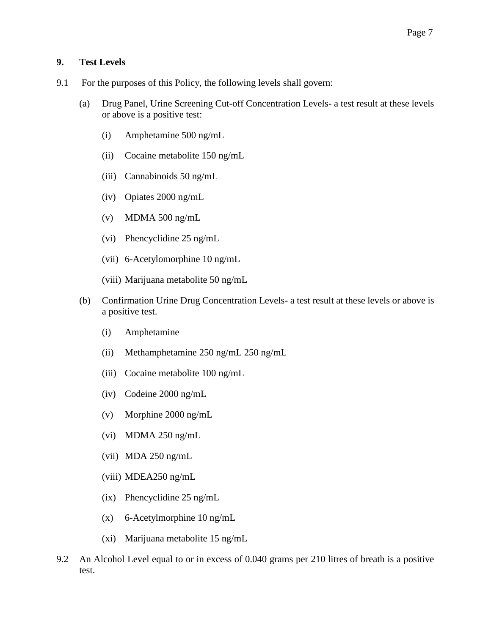## **9. Test Levels**

- 9.1 For the purposes of this Policy, the following levels shall govern:
	- (a) Drug Panel, Urine Screening Cut-off Concentration Levels- a test result at these levels or above is a positive test:
		- (i) Amphetamine 500 ng/mL
		- (ii) Cocaine metabolite 150 ng/mL
		- (iii) Cannabinoids 50 ng/mL
		- (iv) Opiates 2000 ng/mL
		- (v) MDMA 500 ng/mL
		- (vi) Phencyclidine 25 ng/mL
		- (vii) 6-Acetylomorphine 10 ng/mL
		- (viii) Marijuana metabolite 50 ng/mL
	- (b) Confirmation Urine Drug Concentration Levels- a test result at these levels or above is a positive test.
		- (i) Amphetamine
		- (ii) Methamphetamine 250 ng/mL 250 ng/mL
		- (iii) Cocaine metabolite 100 ng/mL
		- (iv) Codeine 2000 ng/mL
		- (v) Morphine 2000 ng/mL
		- (vi) MDMA 250 ng/mL
		- (vii) MDA 250 ng/mL
		- (viii) MDEA250 ng/mL
		- (ix) Phencyclidine 25 ng/mL
		- (x) 6-Acetylmorphine 10 ng/mL
		- (xi) Marijuana metabolite 15 ng/mL
- 9.2 An Alcohol Level equal to or in excess of 0.040 grams per 210 litres of breath is a positive test.